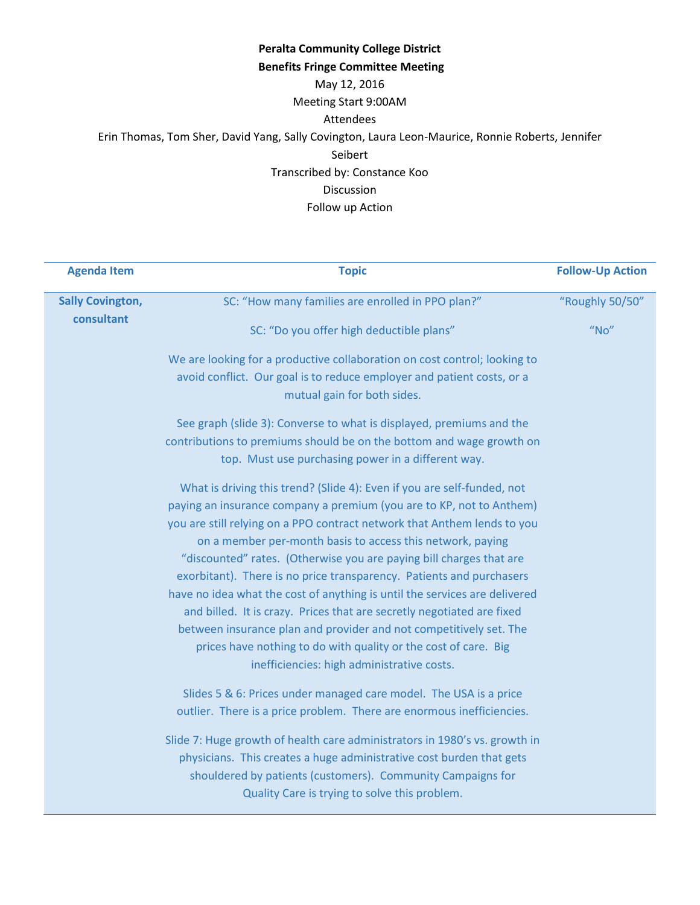### **Peralta Community College District Benefits Fringe Committee Meeting** May 12, 2016 Meeting Start 9:00AM Attendees Erin Thomas, Tom Sher, David Yang, Sally Covington, Laura Leon-Maurice, Ronnie Roberts, Jennifer Seibert Transcribed by: Constance Koo Discussion Follow up Action

| <b>Agenda Item</b>      | <b>Topic</b>                                                                                                                                                                                                                                                                                                                                                                                                                                                                                                                                                                                                                                                                                                                                                                            | <b>Follow-Up Action</b> |
|-------------------------|-----------------------------------------------------------------------------------------------------------------------------------------------------------------------------------------------------------------------------------------------------------------------------------------------------------------------------------------------------------------------------------------------------------------------------------------------------------------------------------------------------------------------------------------------------------------------------------------------------------------------------------------------------------------------------------------------------------------------------------------------------------------------------------------|-------------------------|
| <b>Sally Covington,</b> | SC: "How many families are enrolled in PPO plan?"                                                                                                                                                                                                                                                                                                                                                                                                                                                                                                                                                                                                                                                                                                                                       | "Roughly 50/50"         |
| consultant              | SC: "Do you offer high deductible plans"                                                                                                                                                                                                                                                                                                                                                                                                                                                                                                                                                                                                                                                                                                                                                | $''$ No"                |
|                         | We are looking for a productive collaboration on cost control; looking to<br>avoid conflict. Our goal is to reduce employer and patient costs, or a<br>mutual gain for both sides.                                                                                                                                                                                                                                                                                                                                                                                                                                                                                                                                                                                                      |                         |
|                         | See graph (slide 3): Converse to what is displayed, premiums and the<br>contributions to premiums should be on the bottom and wage growth on<br>top. Must use purchasing power in a different way.                                                                                                                                                                                                                                                                                                                                                                                                                                                                                                                                                                                      |                         |
|                         | What is driving this trend? (Slide 4): Even if you are self-funded, not<br>paying an insurance company a premium (you are to KP, not to Anthem)<br>you are still relying on a PPO contract network that Anthem lends to you<br>on a member per-month basis to access this network, paying<br>"discounted" rates. (Otherwise you are paying bill charges that are<br>exorbitant). There is no price transparency. Patients and purchasers<br>have no idea what the cost of anything is until the services are delivered<br>and billed. It is crazy. Prices that are secretly negotiated are fixed<br>between insurance plan and provider and not competitively set. The<br>prices have nothing to do with quality or the cost of care. Big<br>inefficiencies: high administrative costs. |                         |
|                         | Slides 5 & 6: Prices under managed care model. The USA is a price<br>outlier. There is a price problem. There are enormous inefficiencies.<br>Slide 7: Huge growth of health care administrators in 1980's vs. growth in<br>physicians. This creates a huge administrative cost burden that gets<br>shouldered by patients (customers). Community Campaigns for<br>Quality Care is trying to solve this problem.                                                                                                                                                                                                                                                                                                                                                                        |                         |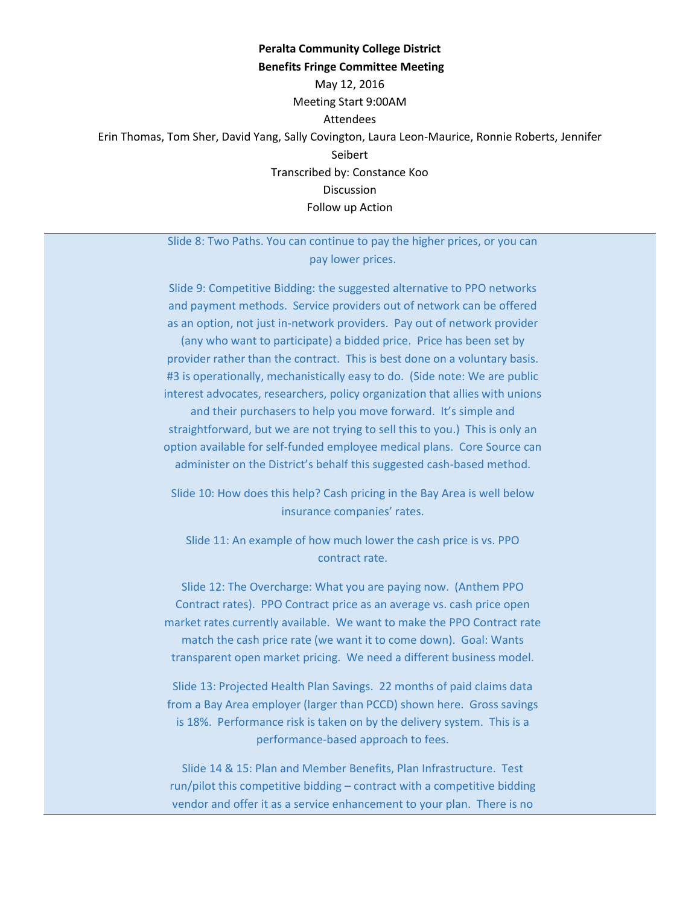### **Peralta Community College District Benefits Fringe Committee Meeting** May 12, 2016 Meeting Start 9:00AM Attendees Erin Thomas, Tom Sher, David Yang, Sally Covington, Laura Leon-Maurice, Ronnie Roberts, Jennifer Seibert Transcribed by: Constance Koo Discussion Follow up Action

Slide 8: Two Paths. You can continue to pay the higher prices, or you can pay lower prices.

Slide 9: Competitive Bidding: the suggested alternative to PPO networks and payment methods. Service providers out of network can be offered as an option, not just in-network providers. Pay out of network provider (any who want to participate) a bidded price. Price has been set by provider rather than the contract. This is best done on a voluntary basis. #3 is operationally, mechanistically easy to do. (Side note: We are public interest advocates, researchers, policy organization that allies with unions and their purchasers to help you move forward. It's simple and straightforward, but we are not trying to sell this to you.) This is only an option available for self-funded employee medical plans. Core Source can administer on the District's behalf this suggested cash-based method.

Slide 10: How does this help? Cash pricing in the Bay Area is well below insurance companies' rates.

Slide 11: An example of how much lower the cash price is vs. PPO contract rate.

Slide 12: The Overcharge: What you are paying now. (Anthem PPO Contract rates). PPO Contract price as an average vs. cash price open market rates currently available. We want to make the PPO Contract rate match the cash price rate (we want it to come down). Goal: Wants transparent open market pricing. We need a different business model.

Slide 13: Projected Health Plan Savings. 22 months of paid claims data from a Bay Area employer (larger than PCCD) shown here. Gross savings is 18%. Performance risk is taken on by the delivery system. This is a performance-based approach to fees.

Slide 14 & 15: Plan and Member Benefits, Plan Infrastructure. Test run/pilot this competitive bidding – contract with a competitive bidding vendor and offer it as a service enhancement to your plan. There is no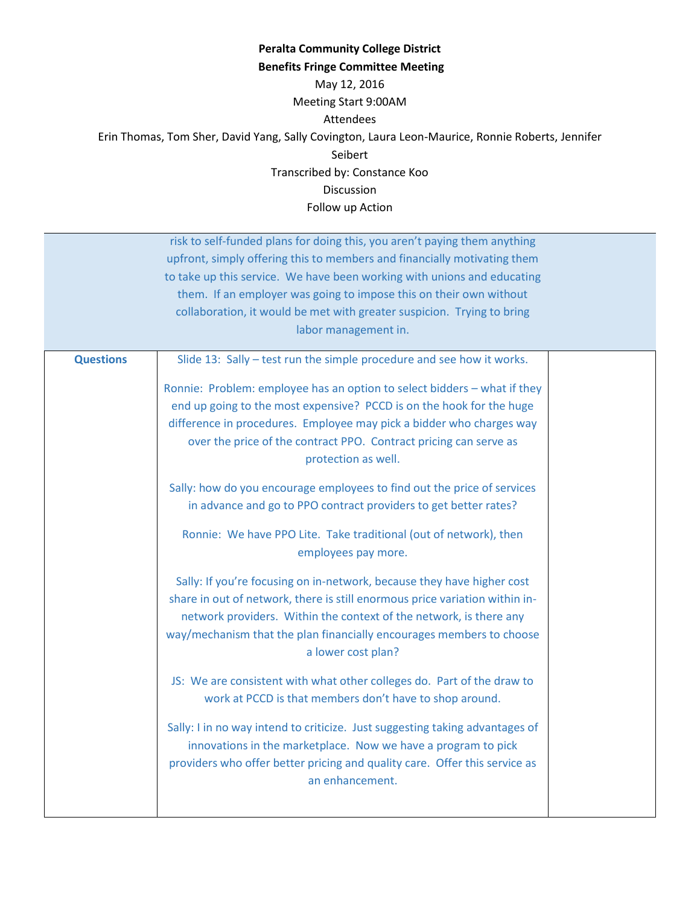### **Peralta Community College District Benefits Fringe Committee Meeting** May 12, 2016 Meeting Start 9:00AM Attendees Erin Thomas, Tom Sher, David Yang, Sally Covington, Laura Leon-Maurice, Ronnie Roberts, Jennifer Seibert Transcribed by: Constance Koo Discussion Follow up Action

risk to self-funded plans for doing this, you aren't paying them anything upfront, simply offering this to members and financially motivating them to take up this service. We have been working with unions and educating them. If an employer was going to impose this on their own without collaboration, it would be met with greater suspicion. Trying to bring labor management in.

| <b>Questions</b> | Slide 13: Sally - test run the simple procedure and see how it works.                                                                                                                                                                                                                                                     |
|------------------|---------------------------------------------------------------------------------------------------------------------------------------------------------------------------------------------------------------------------------------------------------------------------------------------------------------------------|
|                  | Ronnie: Problem: employee has an option to select bidders - what if they<br>end up going to the most expensive? PCCD is on the hook for the huge<br>difference in procedures. Employee may pick a bidder who charges way<br>over the price of the contract PPO. Contract pricing can serve as<br>protection as well.      |
|                  | Sally: how do you encourage employees to find out the price of services<br>in advance and go to PPO contract providers to get better rates?                                                                                                                                                                               |
|                  | Ronnie: We have PPO Lite. Take traditional (out of network), then<br>employees pay more.                                                                                                                                                                                                                                  |
|                  | Sally: If you're focusing on in-network, because they have higher cost<br>share in out of network, there is still enormous price variation within in-<br>network providers. Within the context of the network, is there any<br>way/mechanism that the plan financially encourages members to choose<br>a lower cost plan? |
|                  | JS: We are consistent with what other colleges do. Part of the draw to<br>work at PCCD is that members don't have to shop around.                                                                                                                                                                                         |
|                  | Sally: I in no way intend to criticize. Just suggesting taking advantages of<br>innovations in the marketplace. Now we have a program to pick<br>providers who offer better pricing and quality care. Offer this service as<br>an enhancement.                                                                            |
|                  |                                                                                                                                                                                                                                                                                                                           |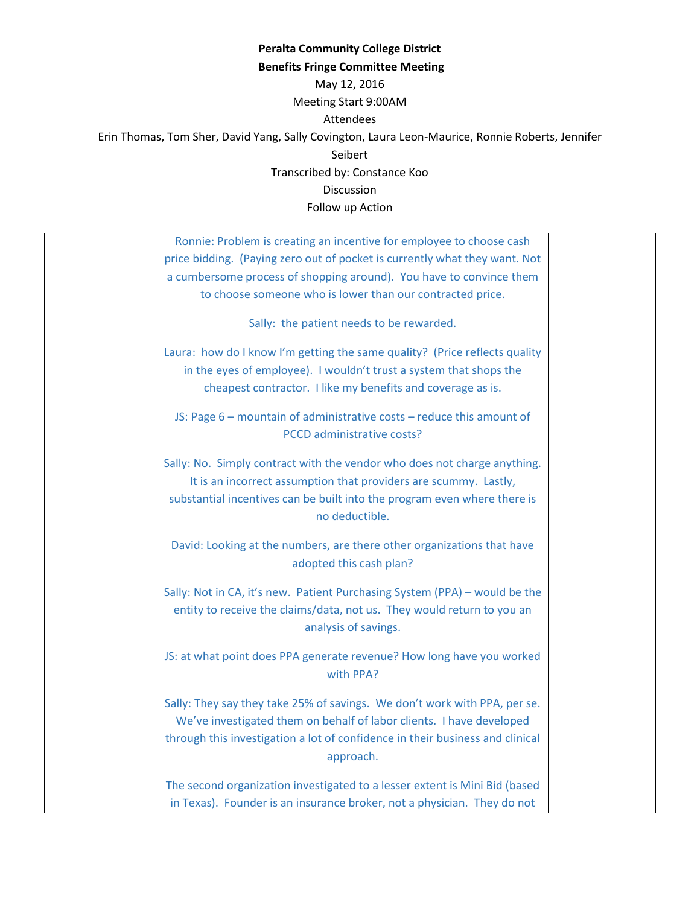# **Peralta Community College District Benefits Fringe Committee Meeting** May 12, 2016 Meeting Start 9:00AM Attendees Erin Thomas, Tom Sher, David Yang, Sally Covington, Laura Leon-Maurice, Ronnie Roberts, Jennifer Seibert Transcribed by: Constance Koo Discussion

Follow up Action

| Ronnie: Problem is creating an incentive for employee to choose cash                                                                                                                                                                            |
|-------------------------------------------------------------------------------------------------------------------------------------------------------------------------------------------------------------------------------------------------|
| price bidding. (Paying zero out of pocket is currently what they want. Not                                                                                                                                                                      |
| a cumbersome process of shopping around). You have to convince them                                                                                                                                                                             |
| to choose someone who is lower than our contracted price.                                                                                                                                                                                       |
| Sally: the patient needs to be rewarded.                                                                                                                                                                                                        |
| Laura: how do I know I'm getting the same quality? (Price reflects quality<br>in the eyes of employee). I wouldn't trust a system that shops the                                                                                                |
| cheapest contractor. I like my benefits and coverage as is.                                                                                                                                                                                     |
| JS: Page 6 - mountain of administrative costs - reduce this amount of<br>PCCD administrative costs?                                                                                                                                             |
| Sally: No. Simply contract with the vendor who does not charge anything.<br>It is an incorrect assumption that providers are scummy. Lastly,<br>substantial incentives can be built into the program even where there is<br>no deductible.      |
| David: Looking at the numbers, are there other organizations that have<br>adopted this cash plan?                                                                                                                                               |
| Sally: Not in CA, it's new. Patient Purchasing System (PPA) - would be the<br>entity to receive the claims/data, not us. They would return to you an<br>analysis of savings.                                                                    |
| JS: at what point does PPA generate revenue? How long have you worked<br>with PPA?                                                                                                                                                              |
| Sally: They say they take 25% of savings. We don't work with PPA, per se.<br>We've investigated them on behalf of labor clients. I have developed<br>through this investigation a lot of confidence in their business and clinical<br>approach. |
| The second organization investigated to a lesser extent is Mini Bid (based<br>in Texas). Founder is an insurance broker, not a physician. They do not                                                                                           |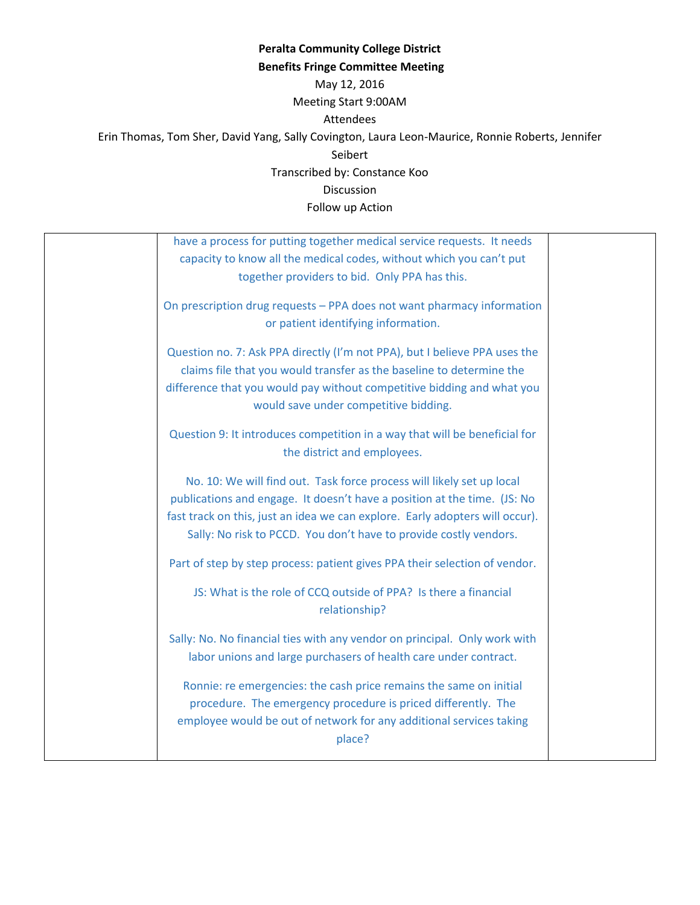## **Peralta Community College District Benefits Fringe Committee Meeting** May 12, 2016 Meeting Start 9:00AM Attendees Erin Thomas, Tom Sher, David Yang, Sally Covington, Laura Leon-Maurice, Ronnie Roberts, Jennifer Seibert Transcribed by: Constance Koo Discussion

Follow up Action

| have a process for putting together medical service requests. It needs<br>capacity to know all the medical codes, without which you can't put<br>together providers to bid. Only PPA has this.                                                                                                         |  |
|--------------------------------------------------------------------------------------------------------------------------------------------------------------------------------------------------------------------------------------------------------------------------------------------------------|--|
| On prescription drug requests - PPA does not want pharmacy information<br>or patient identifying information.                                                                                                                                                                                          |  |
| Question no. 7: Ask PPA directly (I'm not PPA), but I believe PPA uses the<br>claims file that you would transfer as the baseline to determine the<br>difference that you would pay without competitive bidding and what you<br>would save under competitive bidding.                                  |  |
| Question 9: It introduces competition in a way that will be beneficial for<br>the district and employees.                                                                                                                                                                                              |  |
| No. 10: We will find out. Task force process will likely set up local<br>publications and engage. It doesn't have a position at the time. (JS: No<br>fast track on this, just an idea we can explore. Early adopters will occur).<br>Sally: No risk to PCCD. You don't have to provide costly vendors. |  |
| Part of step by step process: patient gives PPA their selection of vendor.                                                                                                                                                                                                                             |  |
| JS: What is the role of CCQ outside of PPA? Is there a financial<br>relationship?                                                                                                                                                                                                                      |  |
| Sally: No. No financial ties with any vendor on principal. Only work with<br>labor unions and large purchasers of health care under contract.                                                                                                                                                          |  |
| Ronnie: re emergencies: the cash price remains the same on initial<br>procedure. The emergency procedure is priced differently. The<br>employee would be out of network for any additional services taking<br>place?                                                                                   |  |